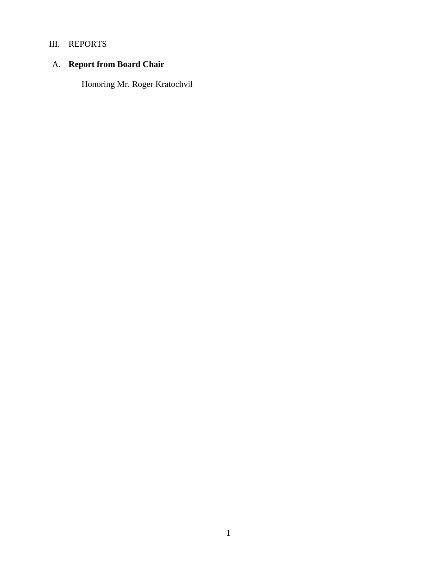# III. REPORTS

# A. **Report from Board Chair**

Honoring Mr. Roger Kratochvil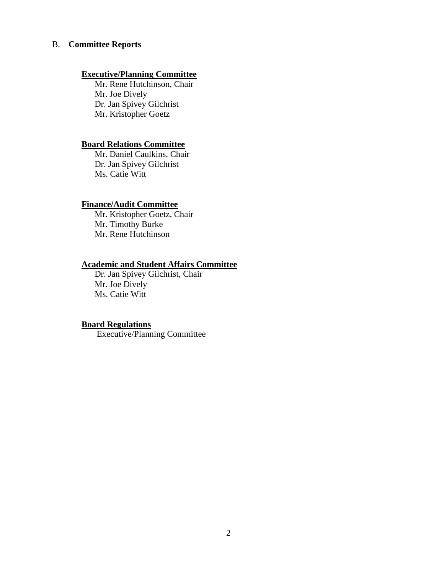#### B. **Committee Reports**

## **Executive/Planning Committee**

Mr. Rene Hutchinson, Chair Mr. Joe Dively Dr. Jan Spivey Gilchrist Mr. Kristopher Goetz

#### **Board Relations Committee**

Mr. Daniel Caulkins, Chair Dr. Jan Spivey Gilchrist Ms. Catie Witt

#### **Finance/Audit Committee**

Mr. Kristopher Goetz, Chair Mr. Timothy Burke Mr. Rene Hutchinson

### **Academic and Student Affairs Committee**

Dr. Jan Spivey Gilchrist, Chair Mr. Joe Dively Ms. Catie Witt

## **Board Regulations**

Executive/Planning Committee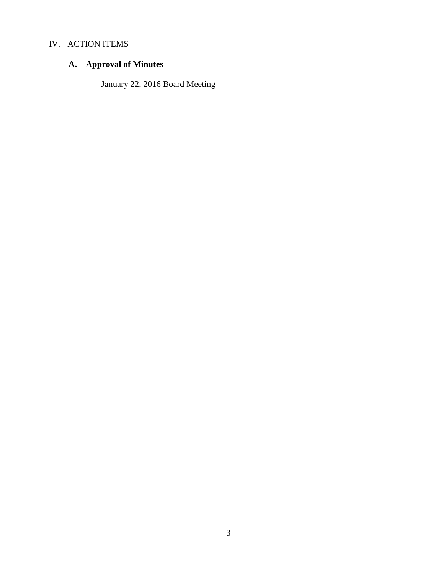# IV. ACTION ITEMS

# **A. Approval of Minutes**

January 22, 2016 Board Meeting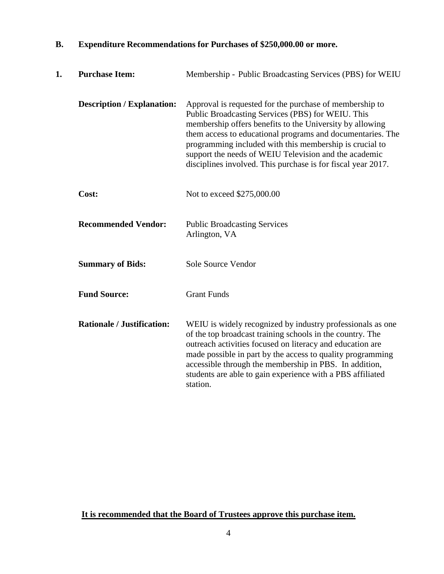| 1. | <b>Purchase Item:</b>             | Membership - Public Broadcasting Services (PBS) for WEIU                                                                                                                                                                                                                                                                                                                                                                   |
|----|-----------------------------------|----------------------------------------------------------------------------------------------------------------------------------------------------------------------------------------------------------------------------------------------------------------------------------------------------------------------------------------------------------------------------------------------------------------------------|
|    | <b>Description / Explanation:</b> | Approval is requested for the purchase of membership to<br>Public Broadcasting Services (PBS) for WEIU. This<br>membership offers benefits to the University by allowing<br>them access to educational programs and documentaries. The<br>programming included with this membership is crucial to<br>support the needs of WEIU Television and the academic<br>disciplines involved. This purchase is for fiscal year 2017. |
|    | Cost:                             | Not to exceed \$275,000.00                                                                                                                                                                                                                                                                                                                                                                                                 |
|    | <b>Recommended Vendor:</b>        | <b>Public Broadcasting Services</b><br>Arlington, VA                                                                                                                                                                                                                                                                                                                                                                       |
|    | <b>Summary of Bids:</b>           | Sole Source Vendor                                                                                                                                                                                                                                                                                                                                                                                                         |
|    | <b>Fund Source:</b>               | <b>Grant Funds</b>                                                                                                                                                                                                                                                                                                                                                                                                         |
|    | <b>Rationale / Justification:</b> | WEIU is widely recognized by industry professionals as one<br>of the top broadcast training schools in the country. The<br>outreach activities focused on literacy and education are<br>made possible in part by the access to quality programming<br>accessible through the membership in PBS. In addition,<br>students are able to gain experience with a PBS affiliated<br>station.                                     |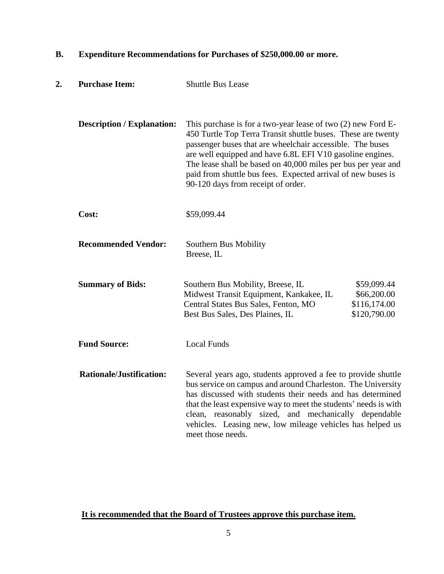| 2. | <b>Purchase Item:</b>             | <b>Shuttle Bus Lease</b>                                                                                                                                                                                                                                                                                                                                                                                                        |                                                            |
|----|-----------------------------------|---------------------------------------------------------------------------------------------------------------------------------------------------------------------------------------------------------------------------------------------------------------------------------------------------------------------------------------------------------------------------------------------------------------------------------|------------------------------------------------------------|
|    | <b>Description / Explanation:</b> | This purchase is for a two-year lease of two $(2)$ new Ford E-<br>450 Turtle Top Terra Transit shuttle buses. These are twenty<br>passenger buses that are wheelchair accessible. The buses<br>are well equipped and have 6.8L EFI V10 gasoline engines.<br>The lease shall be based on 40,000 miles per bus per year and<br>paid from shuttle bus fees. Expected arrival of new buses is<br>90-120 days from receipt of order. |                                                            |
|    | Cost:                             | \$59,099.44                                                                                                                                                                                                                                                                                                                                                                                                                     |                                                            |
|    | <b>Recommended Vendor:</b>        | Southern Bus Mobility<br>Breese, IL                                                                                                                                                                                                                                                                                                                                                                                             |                                                            |
|    | <b>Summary of Bids:</b>           | Southern Bus Mobility, Breese, IL<br>Midwest Transit Equipment, Kankakee, IL<br>Central States Bus Sales, Fenton, MO<br>Best Bus Sales, Des Plaines, IL                                                                                                                                                                                                                                                                         | \$59,099.44<br>\$66,200.00<br>\$116,174.00<br>\$120,790.00 |
|    | <b>Fund Source:</b>               | <b>Local Funds</b>                                                                                                                                                                                                                                                                                                                                                                                                              |                                                            |
|    | <b>Rationale/Justification:</b>   | Several years ago, students approved a fee to provide shuttle<br>bus service on campus and around Charleston. The University<br>has discussed with students their needs and has determined<br>that the least expensive way to meet the students' needs is with<br>clean, reasonably sized, and mechanically dependable<br>vehicles. Leasing new, low mileage vehicles has helped us<br>meet those needs.                        |                                                            |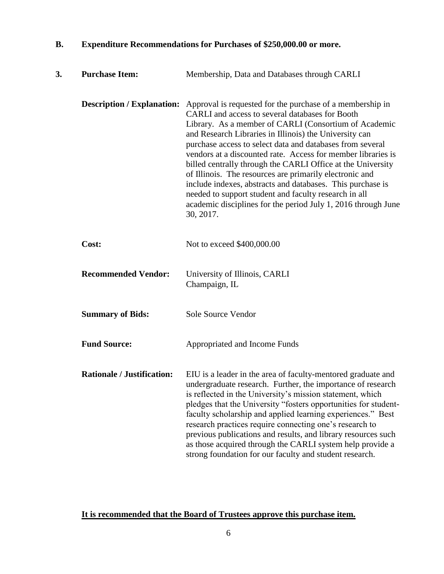| 3. | <b>Purchase Item:</b>             | Membership, Data and Databases through CARLI                                                                                                                                                                                                                                                                                                                                                                                                                                                                                                                                                                                                                                                                                  |
|----|-----------------------------------|-------------------------------------------------------------------------------------------------------------------------------------------------------------------------------------------------------------------------------------------------------------------------------------------------------------------------------------------------------------------------------------------------------------------------------------------------------------------------------------------------------------------------------------------------------------------------------------------------------------------------------------------------------------------------------------------------------------------------------|
|    |                                   | <b>Description / Explanation:</b> Approval is requested for the purchase of a membership in<br>CARLI and access to several databases for Booth<br>Library. As a member of CARLI (Consortium of Academic<br>and Research Libraries in Illinois) the University can<br>purchase access to select data and databases from several<br>vendors at a discounted rate. Access for member libraries is<br>billed centrally through the CARLI Office at the University<br>of Illinois. The resources are primarily electronic and<br>include indexes, abstracts and databases. This purchase is<br>needed to support student and faculty research in all<br>academic disciplines for the period July 1, 2016 through June<br>30, 2017. |
|    | Cost:                             | Not to exceed \$400,000.00                                                                                                                                                                                                                                                                                                                                                                                                                                                                                                                                                                                                                                                                                                    |
|    | <b>Recommended Vendor:</b>        | University of Illinois, CARLI<br>Champaign, IL                                                                                                                                                                                                                                                                                                                                                                                                                                                                                                                                                                                                                                                                                |
|    | <b>Summary of Bids:</b>           | Sole Source Vendor                                                                                                                                                                                                                                                                                                                                                                                                                                                                                                                                                                                                                                                                                                            |
|    | <b>Fund Source:</b>               | Appropriated and Income Funds                                                                                                                                                                                                                                                                                                                                                                                                                                                                                                                                                                                                                                                                                                 |
|    | <b>Rationale / Justification:</b> | EIU is a leader in the area of faculty-mentored graduate and<br>undergraduate research. Further, the importance of research<br>is reflected in the University's mission statement, which<br>pledges that the University "fosters opportunities for student-<br>faculty scholarship and applied learning experiences." Best<br>research practices require connecting one's research to<br>previous publications and results, and library resources such<br>as those acquired through the CARLI system help provide a<br>strong foundation for our faculty and student research.                                                                                                                                                |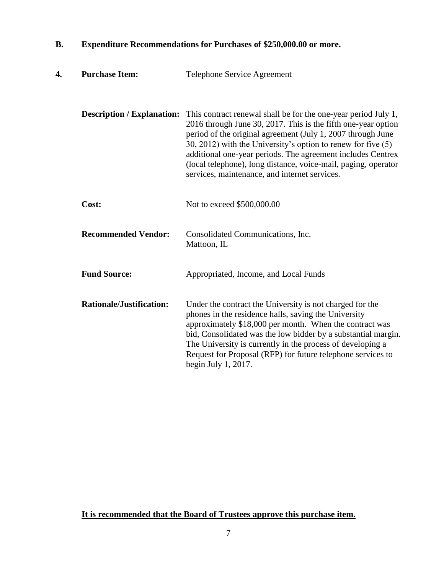| 4. | <b>Purchase Item:</b>             | Telephone Service Agreement                                                                                                                                                                                                                                                                                                                                                                                                                        |
|----|-----------------------------------|----------------------------------------------------------------------------------------------------------------------------------------------------------------------------------------------------------------------------------------------------------------------------------------------------------------------------------------------------------------------------------------------------------------------------------------------------|
|    | <b>Description / Explanation:</b> | This contract renewal shall be for the one-year period July 1,<br>2016 through June 30, 2017. This is the fifth one-year option<br>period of the original agreement (July 1, 2007 through June<br>30, 2012) with the University's option to renew for five $(5)$<br>additional one-year periods. The agreement includes Centrex<br>(local telephone), long distance, voice-mail, paging, operator<br>services, maintenance, and internet services. |
|    | Cost:                             | Not to exceed \$500,000.00                                                                                                                                                                                                                                                                                                                                                                                                                         |
|    | <b>Recommended Vendor:</b>        | Consolidated Communications, Inc.<br>Mattoon, IL                                                                                                                                                                                                                                                                                                                                                                                                   |
|    | <b>Fund Source:</b>               | Appropriated, Income, and Local Funds                                                                                                                                                                                                                                                                                                                                                                                                              |
|    | <b>Rationale/Justification:</b>   | Under the contract the University is not charged for the<br>phones in the residence halls, saving the University<br>approximately \$18,000 per month. When the contract was<br>bid, Consolidated was the low bidder by a substantial margin.<br>The University is currently in the process of developing a<br>Request for Proposal (RFP) for future telephone services to<br>begin July 1, 2017.                                                   |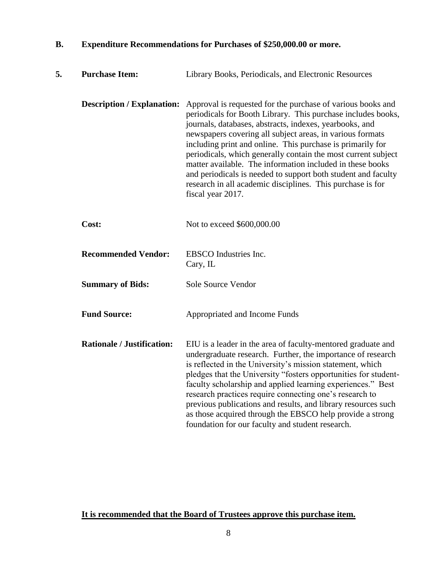| 5. | <b>Purchase Item:</b>             | Library Books, Periodicals, and Electronic Resources                                                                                                                                                                                                                                                                                                                                                                                                                                                                                                                                                |
|----|-----------------------------------|-----------------------------------------------------------------------------------------------------------------------------------------------------------------------------------------------------------------------------------------------------------------------------------------------------------------------------------------------------------------------------------------------------------------------------------------------------------------------------------------------------------------------------------------------------------------------------------------------------|
|    | <b>Description / Explanation:</b> | Approval is requested for the purchase of various books and<br>periodicals for Booth Library. This purchase includes books,<br>journals, databases, abstracts, indexes, yearbooks, and<br>newspapers covering all subject areas, in various formats<br>including print and online. This purchase is primarily for<br>periodicals, which generally contain the most current subject<br>matter available. The information included in these books<br>and periodicals is needed to support both student and faculty<br>research in all academic disciplines. This purchase is for<br>fiscal year 2017. |
|    | Cost:                             | Not to exceed \$600,000.00                                                                                                                                                                                                                                                                                                                                                                                                                                                                                                                                                                          |
|    | <b>Recommended Vendor:</b>        | EBSCO Industries Inc.<br>Cary, IL                                                                                                                                                                                                                                                                                                                                                                                                                                                                                                                                                                   |
|    | <b>Summary of Bids:</b>           | <b>Sole Source Vendor</b>                                                                                                                                                                                                                                                                                                                                                                                                                                                                                                                                                                           |
|    | <b>Fund Source:</b>               | Appropriated and Income Funds                                                                                                                                                                                                                                                                                                                                                                                                                                                                                                                                                                       |
|    | <b>Rationale / Justification:</b> | EIU is a leader in the area of faculty-mentored graduate and<br>undergraduate research. Further, the importance of research<br>is reflected in the University's mission statement, which<br>pledges that the University "fosters opportunities for student-<br>faculty scholarship and applied learning experiences." Best<br>research practices require connecting one's research to<br>previous publications and results, and library resources such<br>as those acquired through the EBSCO help provide a strong<br>foundation for our faculty and student research.                             |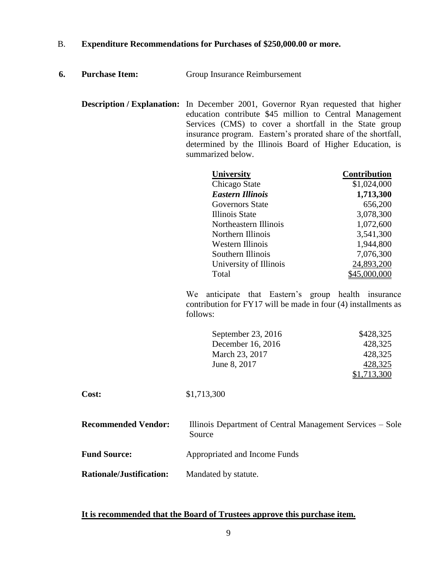- **6. Purchase Item:** Group Insurance Reimbursement
	- **Description / Explanation:** In December 2001, Governor Ryan requested that higher education contribute \$45 million to Central Management Services (CMS) to cover a shortfall in the State group insurance program. Eastern's prorated share of the shortfall, determined by the Illinois Board of Higher Education, is summarized below.

| <b>University</b>      | <b>Contribution</b> |
|------------------------|---------------------|
| Chicago State          | \$1,024,000         |
| Eastern Illinois       | 1,713,300           |
| Governors State        | 656,200             |
| Illinois State         | 3,078,300           |
| Northeastern Illinois  | 1,072,600           |
| Northern Illinois      | 3,541,300           |
| Western Illinois       | 1,944,800           |
| Southern Illinois      | 7,076,300           |
| University of Illinois | 24,893,200          |
| Total                  | \$45,000,000        |

We anticipate that Eastern's group health insurance contribution for FY17 will be made in four (4) installments as follows:

| September 23, 2016 | \$428,325   |
|--------------------|-------------|
| December 16, 2016  | 428,325     |
| March 23, 2017     | 428,325     |
| June 8, 2017       | 428,325     |
|                    | \$1,713,300 |

| \$1,713,300 |
|-------------|
|             |

**Recommended Vendor:** Illinois Department of Central Management Services – Sole Source

**Fund Source:** Appropriated and Income Funds

**Rationale/Justification:** Mandated by statute.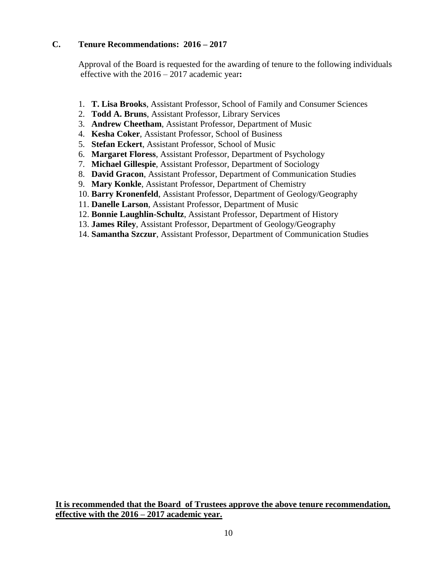## **C. Tenure Recommendations: 2016 – 2017**

Approval of the Board is requested for the awarding of tenure to the following individuals effective with the 2016 – 2017 academic year**:**

- 1. **T. Lisa Brooks**, Assistant Professor, School of Family and Consumer Sciences
- 2. **Todd A. Bruns**, Assistant Professor, Library Services
- 3. **Andrew Cheetham**, Assistant Professor, Department of Music
- 4. **Kesha Coker**, Assistant Professor, School of Business
- 5. **Stefan Eckert**, Assistant Professor, School of Music
- 6. **Margaret Floress**, Assistant Professor, Department of Psychology
- 7. **Michael Gillespie**, Assistant Professor, Department of Sociology
- 8. **David Gracon**, Assistant Professor, Department of Communication Studies
- 9. **Mary Konkle**, Assistant Professor, Department of Chemistry
- 10. **Barry Kronenfeld**, Assistant Professor, Department of Geology/Geography
- 11. **Danelle Larson**, Assistant Professor, Department of Music
- 12. **Bonnie Laughlin-Schultz**, Assistant Professor, Department of History
- 13. **James Riley**, Assistant Professor, Department of Geology/Geography
- 14. **Samantha Szczur**, Assistant Professor, Department of Communication Studies

**It is recommended that the Board of Trustees approve the above tenure recommendation, effective with the 2016 – 2017 academic year.**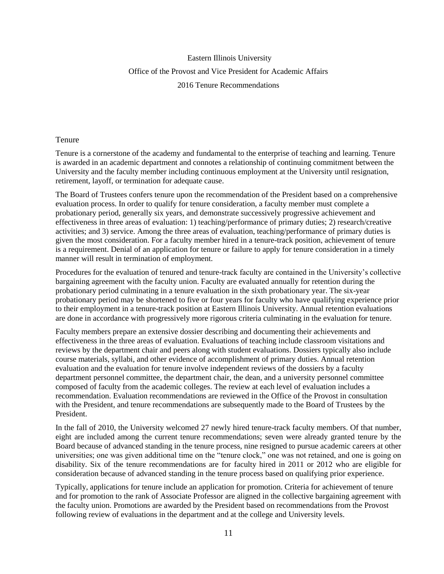# Eastern Illinois University Office of the Provost and Vice President for Academic Affairs 2016 Tenure Recommendations

#### Tenure

Tenure is a cornerstone of the academy and fundamental to the enterprise of teaching and learning. Tenure is awarded in an academic department and connotes a relationship of continuing commitment between the University and the faculty member including continuous employment at the University until resignation, retirement, layoff, or termination for adequate cause.

The Board of Trustees confers tenure upon the recommendation of the President based on a comprehensive evaluation process. In order to qualify for tenure consideration, a faculty member must complete a probationary period, generally six years, and demonstrate successively progressive achievement and effectiveness in three areas of evaluation: 1) teaching/performance of primary duties; 2) research/creative activities; and 3) service. Among the three areas of evaluation, teaching/performance of primary duties is given the most consideration. For a faculty member hired in a tenure-track position, achievement of tenure is a requirement. Denial of an application for tenure or failure to apply for tenure consideration in a timely manner will result in termination of employment.

Procedures for the evaluation of tenured and tenure-track faculty are contained in the University's collective bargaining agreement with the faculty union. Faculty are evaluated annually for retention during the probationary period culminating in a tenure evaluation in the sixth probationary year. The six-year probationary period may be shortened to five or four years for faculty who have qualifying experience prior to their employment in a tenure-track position at Eastern Illinois University. Annual retention evaluations are done in accordance with progressively more rigorous criteria culminating in the evaluation for tenure.

Faculty members prepare an extensive dossier describing and documenting their achievements and effectiveness in the three areas of evaluation. Evaluations of teaching include classroom visitations and reviews by the department chair and peers along with student evaluations. Dossiers typically also include course materials, syllabi, and other evidence of accomplishment of primary duties. Annual retention evaluation and the evaluation for tenure involve independent reviews of the dossiers by a faculty department personnel committee, the department chair, the dean, and a university personnel committee composed of faculty from the academic colleges. The review at each level of evaluation includes a recommendation. Evaluation recommendations are reviewed in the Office of the Provost in consultation with the President, and tenure recommendations are subsequently made to the Board of Trustees by the President.

In the fall of 2010, the University welcomed 27 newly hired tenure-track faculty members. Of that number, eight are included among the current tenure recommendations; seven were already granted tenure by the Board because of advanced standing in the tenure process, nine resigned to pursue academic careers at other universities; one was given additional time on the "tenure clock," one was not retained, and one is going on disability. Six of the tenure recommendations are for faculty hired in 2011 or 2012 who are eligible for consideration because of advanced standing in the tenure process based on qualifying prior experience.

Typically, applications for tenure include an application for promotion. Criteria for achievement of tenure and for promotion to the rank of Associate Professor are aligned in the collective bargaining agreement with the faculty union. Promotions are awarded by the President based on recommendations from the Provost following review of evaluations in the department and at the college and University levels.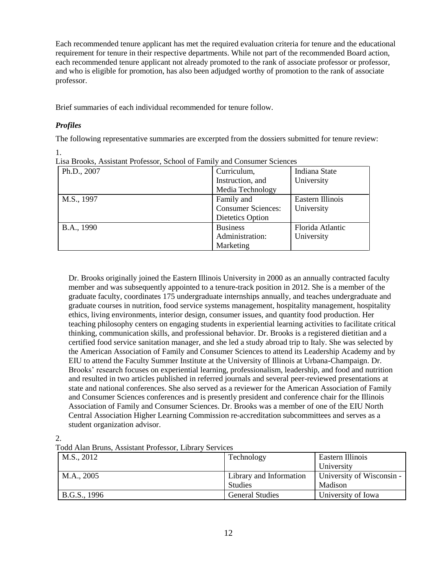Each recommended tenure applicant has met the required evaluation criteria for tenure and the educational requirement for tenure in their respective departments. While not part of the recommended Board action, each recommended tenure applicant not already promoted to the rank of associate professor or professor, and who is eligible for promotion, has also been adjudged worthy of promotion to the rank of associate professor.

Brief summaries of each individual recommended for tenure follow.

### *Profiles*

The following representative summaries are excerpted from the dossiers submitted for tenure review:

| Lisa Brooks, Assistant Professor, School of Family and Consumer Sciences |                           |                  |
|--------------------------------------------------------------------------|---------------------------|------------------|
| Ph.D., 2007                                                              | Curriculum,               | Indiana State    |
|                                                                          | Instruction, and          | University       |
|                                                                          | Media Technology          |                  |
| M.S., 1997                                                               | Family and                | Eastern Illinois |
|                                                                          | <b>Consumer Sciences:</b> | University       |
|                                                                          | Dietetics Option          |                  |
| B.A., 1990                                                               | <b>Business</b>           | Florida Atlantic |
|                                                                          | Administration:           | University       |
|                                                                          | Marketing                 |                  |

 $\frac{1}{\cdot}$ . Lisa Brooks, Assistant Professor, School of Family and Consumer Sciences

Dr. Brooks originally joined the Eastern Illinois University in 2000 as an annually contracted faculty member and was subsequently appointed to a tenure-track position in 2012. She is a member of the graduate faculty, coordinates 175 undergraduate internships annually, and teaches undergraduate and graduate courses in nutrition, food service systems management, hospitality management, hospitality ethics, living environments, interior design, consumer issues, and quantity food production. Her teaching philosophy centers on engaging students in experiential learning activities to facilitate critical thinking, communication skills, and professional behavior. Dr. Brooks is a registered dietitian and a certified food service sanitation manager, and she led a study abroad trip to Italy. She was selected by the American Association of Family and Consumer Sciences to attend its Leadership Academy and by EIU to attend the Faculty Summer Institute at the University of Illinois at Urbana-Champaign. Dr. Brooks' research focuses on experiential learning, professionalism, leadership, and food and nutrition and resulted in two articles published in referred journals and several peer-reviewed presentations at state and national conferences. She also served as a reviewer for the American Association of Family and Consumer Sciences conferences and is presently president and conference chair for the Illinois Association of Family and Consumer Sciences. Dr. Brooks was a member of one of the EIU North Central Association Higher Learning Commission re-accreditation subcommittees and serves as a student organization advisor.

2.

Todd Alan Bruns, Assistant Professor, Library Services

| M.S., 2012   | Technology                                | Eastern Illinois<br>University       |
|--------------|-------------------------------------------|--------------------------------------|
| M.A., 2005   | Library and Information<br><b>Studies</b> | University of Wisconsin -<br>Madison |
| B.G.S., 1996 | <b>General Studies</b>                    | University of Iowa                   |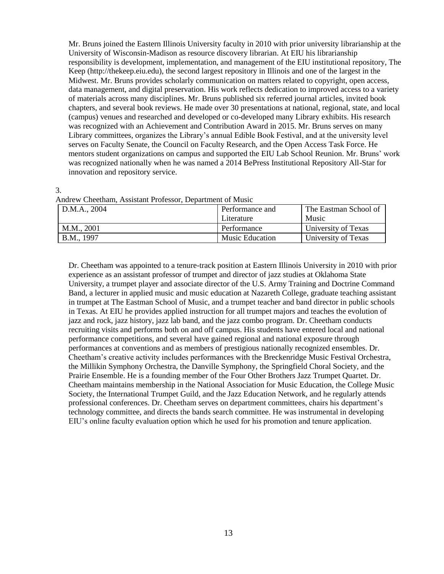Mr. Bruns joined the Eastern Illinois University faculty in 2010 with prior university librarianship at the University of Wisconsin-Madison as resource discovery librarian. At EIU his librarianship responsibility is development, implementation, and management of the EIU institutional repository, The Keep (http://thekeep.eiu.edu), the second largest repository in Illinois and one of the largest in the Midwest. Mr. Bruns provides scholarly communication on matters related to copyright, open access, data management, and digital preservation. His work reflects dedication to improved access to a variety of materials across many disciplines. Mr. Bruns published six referred journal articles, invited book chapters, and several book reviews. He made over 30 presentations at national, regional, state, and local (campus) venues and researched and developed or co-developed many Library exhibits. His research was recognized with an Achievement and Contribution Award in 2015. Mr. Bruns serves on many Library committees, organizes the Library's annual Edible Book Festival, and at the university level serves on Faculty Senate, the Council on Faculty Research, and the Open Access Task Force. He mentors student organizations on campus and supported the EIU Lab School Reunion. Mr. Bruns' work was recognized nationally when he was named a 2014 BePress Institutional Repository All-Star for innovation and repository service.

3.

Andrew Cheetham, Assistant Professor, Department of Music

| D.M.A., 2004 | Performance and        | The Eastman School of |
|--------------|------------------------|-----------------------|
|              | Literature             | Music                 |
| M.M., 2001   | Performance            | University of Texas   |
| B.M., 1997   | <b>Music Education</b> | University of Texas   |

Dr. Cheetham was appointed to a tenure-track position at Eastern Illinois University in 2010 with prior experience as an assistant professor of trumpet and director of jazz studies at Oklahoma State University, a trumpet player and associate director of the U.S. Army Training and Doctrine Command Band, a lecturer in applied music and music education at Nazareth College, graduate teaching assistant in trumpet at The Eastman School of Music, and a trumpet teacher and band director in public schools in Texas. At EIU he provides applied instruction for all trumpet majors and teaches the evolution of jazz and rock, jazz history, jazz lab band, and the jazz combo program. Dr. Cheetham conducts recruiting visits and performs both on and off campus. His students have entered local and national performance competitions, and several have gained regional and national exposure through performances at conventions and as members of prestigious nationally recognized ensembles. Dr. Cheetham's creative activity includes performances with the Breckenridge Music Festival Orchestra, the Millikin Symphony Orchestra, the Danville Symphony, the Springfield Choral Society, and the Prairie Ensemble. He is a founding member of the Four Other Brothers Jazz Trumpet Quartet. Dr. Cheetham maintains membership in the National Association for Music Education, the College Music Society, the International Trumpet Guild, and the Jazz Education Network, and he regularly attends professional conferences. Dr. Cheetham serves on department committees, chairs his department's technology committee, and directs the bands search committee. He was instrumental in developing EIU's online faculty evaluation option which he used for his promotion and tenure application.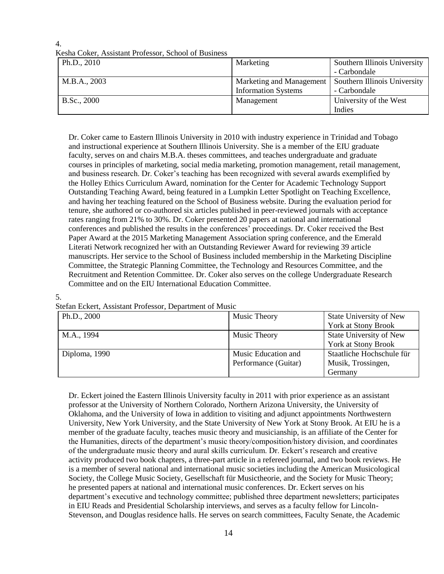#### 4. Kesha Coker, Assistant Professor, School of Business

| Ph.D., 2010  | Marketing                  | Southern Illinois University |
|--------------|----------------------------|------------------------------|
|              |                            | - Carbondale                 |
| M.B.A., 2003 | Marketing and Management   | Southern Illinois University |
|              | <b>Information Systems</b> | - Carbondale                 |
| B.Sc., 2000  | Management                 | University of the West       |
|              |                            | Indies                       |

Dr. Coker came to Eastern Illinois University in 2010 with industry experience in Trinidad and Tobago and instructional experience at Southern Illinois University. She is a member of the EIU graduate faculty, serves on and chairs M.B.A. theses committees, and teaches undergraduate and graduate courses in principles of marketing, social media marketing, promotion management, retail management, and business research. Dr. Coker's teaching has been recognized with several awards exemplified by the Holley Ethics Curriculum Award, nomination for the Center for Academic Technology Support Outstanding Teaching Award, being featured in a Lumpkin Letter Spotlight on Teaching Excellence, and having her teaching featured on the School of Business website. During the evaluation period for tenure, she authored or co-authored six articles published in peer-reviewed journals with acceptance rates ranging from 21% to 30%. Dr. Coker presented 20 papers at national and international conferences and published the results in the conferences' proceedings. Dr. Coker received the Best Paper Award at the 2015 Marketing Management Association spring conference, and the Emerald Literati Network recognized her with an Outstanding Reviewer Award for reviewing 39 article manuscripts. Her service to the School of Business included membership in the Marketing Discipline Committee, the Strategic Planning Committee, the Technology and Resources Committee, and the Recruitment and Retention Committee. Dr. Coker also serves on the college Undergraduate Research Committee and on the EIU International Education Committee.

### 5.

| Ph.D., 2000   | Music Theory         | State University of New   |
|---------------|----------------------|---------------------------|
|               |                      | York at Stony Brook       |
| M.A., 1994    | Music Theory         | State University of New   |
|               |                      | York at Stony Brook       |
| Diploma, 1990 | Music Education and  | Staatliche Hochschule für |
|               | Performance (Guitar) | Musik, Trossingen,        |
|               |                      | Germany                   |

Dr. Eckert joined the Eastern Illinois University faculty in 2011 with prior experience as an assistant professor at the University of Northern Colorado, Northern Arizona University, the University of Oklahoma, and the University of Iowa in addition to visiting and adjunct appointments Northwestern University, New York University, and the State University of New York at Stony Brook. At EIU he is a member of the graduate faculty, teaches music theory and musicianship, is an affiliate of the Center for the Humanities, directs of the department's music theory/composition/history division, and coordinates of the undergraduate music theory and aural skills curriculum. Dr. Eckert's research and creative activity produced two book chapters, a three-part article in a refereed journal, and two book reviews. He is a member of several national and international music societies including the American Musicological Society, the College Music Society, Gesellschaft für Musictheorie, and the Society for Music Theory; he presented papers at national and international music conferences. Dr. Eckert serves on his department's executive and technology committee; published three department newsletters; participates in EIU Reads and Presidential Scholarship interviews, and serves as a faculty fellow for Lincoln-Stevenson, and Douglas residence halls. He serves on search committees, Faculty Senate, the Academic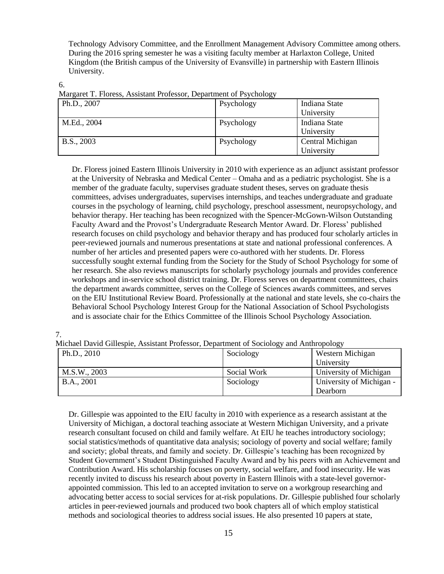Technology Advisory Committee, and the Enrollment Management Advisory Committee among others. During the 2016 spring semester he was a visiting faculty member at Harlaxton College, United Kingdom (the British campus of the University of Evansville) in partnership with Eastern Illinois University.

6.

Margaret T. Floress, Assistant Professor, Department of Psychology

| Ph.D., 2007 | Psychology | Indiana State    |
|-------------|------------|------------------|
|             |            | University       |
| M.Ed., 2004 | Psychology | Indiana State    |
|             |            | University       |
| B.S., 2003  | Psychology | Central Michigan |
|             |            | University       |

Dr. Floress joined Eastern Illinois University in 2010 with experience as an adjunct assistant professor at the University of Nebraska and Medical Center – Omaha and as a pediatric psychologist. She is a member of the graduate faculty, supervises graduate student theses, serves on graduate thesis committees, advises undergraduates, supervises internships, and teaches undergraduate and graduate courses in the psychology of learning, child psychology, preschool assessment, neuropsychology, and behavior therapy. Her teaching has been recognized with the Spencer-McGown-Wilson Outstanding Faculty Award and the Provost's Undergraduate Research Mentor Award. Dr. Floress' published research focuses on child psychology and behavior therapy and has produced four scholarly articles in peer-reviewed journals and numerous presentations at state and national professional conferences. A number of her articles and presented papers were co-authored with her students. Dr. Floress successfully sought external funding from the Society for the Study of School Psychology for some of her research. She also reviews manuscripts for scholarly psychology journals and provides conference workshops and in-service school district training. Dr. Floress serves on department committees, chairs the department awards committee, serves on the College of Sciences awards committees, and serves on the EIU Institutional Review Board. Professionally at the national and state levels, she co-chairs the Behavioral School Psychology Interest Group for the National Association of School Psychologists and is associate chair for the Ethics Committee of the Illinois School Psychology Association.

7.

Michael David Gillespie, Assistant Professor, Department of Sociology and Anthropology

|              | ັ           |                          |
|--------------|-------------|--------------------------|
| Ph.D., 2010  | Sociology   | Western Michigan         |
|              |             | University               |
| M.S.W., 2003 | Social Work | University of Michigan   |
| B.A., 2001   | Sociology   | University of Michigan - |
|              |             | Dearborn                 |

Dr. Gillespie was appointed to the EIU faculty in 2010 with experience as a research assistant at the University of Michigan, a doctoral teaching associate at Western Michigan University, and a private research consultant focused on child and family welfare. At EIU he teaches introductory sociology; social statistics/methods of quantitative data analysis; sociology of poverty and social welfare; family and society; global threats, and family and society. Dr. Gillespie's teaching has been recognized by Student Government's Student Distinguished Faculty Award and by his peers with an Achievement and Contribution Award. His scholarship focuses on poverty, social welfare, and food insecurity. He was recently invited to discuss his research about poverty in Eastern Illinois with a state-level governorappointed commission. This led to an accepted invitation to serve on a workgroup researching and advocating better access to social services for at-risk populations. Dr. Gillespie published four scholarly articles in peer-reviewed journals and produced two book chapters all of which employ statistical methods and sociological theories to address social issues. He also presented 10 papers at state,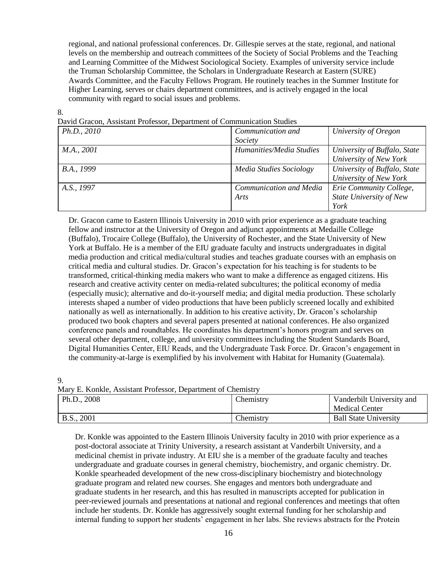regional, and national professional conferences. Dr. Gillespie serves at the state, regional, and national levels on the membership and outreach committees of the Society of Social Problems and the Teaching and Learning Committee of the Midwest Sociological Society. Examples of university service include the Truman Scholarship Committee, the Scholars in Undergraduate Research at Eastern (SURE) Awards Committee, and the Faculty Fellows Program. He routinely teaches in the Summer Institute for Higher Learning, serves or chairs department committees, and is actively engaged in the local community with regard to social issues and problems.

8.

David Gracon, Assistant Professor, Department of Communication Studies

| Ph.D., 2010 | Communication and              | University of Oregon         |
|-------------|--------------------------------|------------------------------|
|             | Society                        |                              |
| M.A., 2001  | Humanities/Media Studies       | University of Buffalo, State |
|             |                                | University of New York       |
| B.A., 1999  | <b>Media Studies Sociology</b> | University of Buffalo, State |
|             |                                | University of New York       |
| A.S., 1997  | Communication and Media        | Erie Community College,      |
|             | Arts                           | State University of New      |
|             |                                | York                         |

Dr. Gracon came to Eastern Illinois University in 2010 with prior experience as a graduate teaching fellow and instructor at the University of Oregon and adjunct appointments at Medaille College (Buffalo), Trocaire College (Buffalo), the University of Rochester, and the State University of New York at Buffalo. He is a member of the EIU graduate faculty and instructs undergraduates in digital media production and critical media/cultural studies and teaches graduate courses with an emphasis on critical media and cultural studies. Dr. Gracon's expectation for his teaching is for students to be transformed, critical-thinking media makers who want to make a difference as engaged citizens. His research and creative activity center on media-related subcultures; the political economy of media (especially music); alternative and do-it-yourself media; and digital media production. These scholarly interests shaped a number of video productions that have been publicly screened locally and exhibited nationally as well as internationally. In addition to his creative activity, Dr. Gracon's scholarship produced two book chapters and several papers presented at national conferences. He also organized conference panels and roundtables. He coordinates his department's honors program and serves on several other department, college, and university committees including the Student Standards Board, Digital Humanities Center, EIU Reads, and the Undergraduate Task Force. Dr. Gracon's engagement in the community-at-large is exemplified by his involvement with Habitat for Humanity (Guatemala).

9.

Mary E. Konkle, Assistant Professor, Department of Chemistry

| Ph.D., 2008 | Chemistry        | Vanderbilt University and<br><b>Medical Center</b> |
|-------------|------------------|----------------------------------------------------|
| B.S., 2001  | <b>Chemistry</b> | <b>Ball State University</b>                       |

Dr. Konkle was appointed to the Eastern Illinois University faculty in 2010 with prior experience as a post-doctoral associate at Trinity University, a research assistant at Vanderbilt University, and a medicinal chemist in private industry. At EIU she is a member of the graduate faculty and teaches undergraduate and graduate courses in general chemistry, biochemistry, and organic chemistry. Dr. Konkle spearheaded development of the new cross-disciplinary biochemistry and biotechnology graduate program and related new courses. She engages and mentors both undergraduate and graduate students in her research, and this has resulted in manuscripts accepted for publication in peer-reviewed journals and presentations at national and regional conferences and meetings that often include her students. Dr. Konkle has aggressively sought external funding for her scholarship and internal funding to support her students' engagement in her labs. She reviews abstracts for the Protein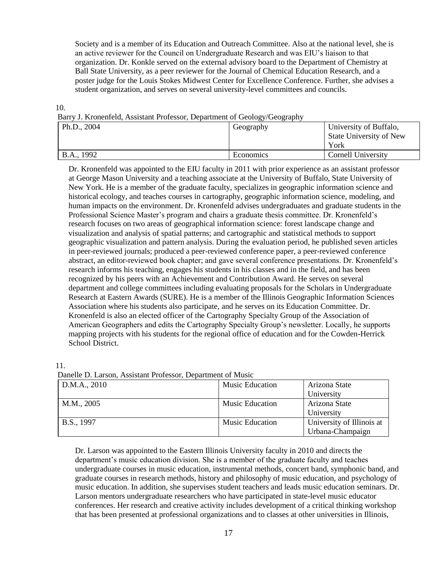Society and is a member of its Education and Outreach Committee. Also at the national level, she is an active reviewer for the Council on Undergraduate Research and was EIU's liaison to that organization. Dr. Konkle served on the external advisory board to the Department of Chemistry at Ball State University, as a peer reviewer for the Journal of Chemical Education Research, and a poster judge for the Louis Stokes Midwest Center for Excellence Conference. Further, she advises a student organization, and serves on several university-level committees and councils.

#### 10.

|  |  | Barry J. Kronenfeld, Assistant Professor, Department of Geology/Geography |  |  |
|--|--|---------------------------------------------------------------------------|--|--|
|  |  |                                                                           |  |  |
|  |  |                                                                           |  |  |
|  |  |                                                                           |  |  |

| Ph.D., 2004 | Geography | University of Buffalo,         |
|-------------|-----------|--------------------------------|
|             |           | <b>State University of New</b> |
|             |           | York                           |
| B.A., 1992  | Economics | Cornell University             |

Dr. Kronenfeld was appointed to the EIU faculty in 2011 with prior experience as an assistant professor at George Mason University and a teaching associate at the University of Buffalo, State University of New York. He is a member of the graduate faculty, specializes in geographic information science and historical ecology, and teaches courses in cartography, geographic information science, modeling, and human impacts on the environment. Dr. Kronenfeld advises undergraduates and graduate students in the Professional Science Master's program and chairs a graduate thesis committee. Dr. Kronenfeld's research focuses on two areas of geographical information science: forest landscape change and visualization and analysis of spatial patterns; and cartographic and statistical methods to support geographic visualization and pattern analysis. During the evaluation period, he published seven articles in peer-reviewed journals; produced a peer-reviewed conference paper, a peer-reviewed conference abstract, an editor-reviewed book chapter; and gave several conference presentations. Dr. Kronenfeld's research informs his teaching, engages his students in his classes and in the field, and has been recognized by his peers with an Achievement and Contribution Award. He serves on several department and college committees including evaluating proposals for the Scholars in Undergraduate Research at Eastern Awards (SURE). He is a member of the Illinois Geographic Information Sciences Association where his students also participate, and he serves on its Education Committee. Dr. Kronenfeld is also an elected officer of the Cartography Specialty Group of the Association of American Geographers and edits the Cartography Specialty Group's newsletter. Locally, he supports mapping projects with his students for the regional office of education and for the Cowden-Herrick School District.

11.

Danelle D. Larson, Assistant Professor, Department of Music

| D.M.A., 2010 | <b>Music Education</b> | Arizona State             |
|--------------|------------------------|---------------------------|
|              |                        | University                |
| M.M., 2005   | <b>Music Education</b> | Arizona State             |
|              |                        | University                |
| B.S., 1997   | <b>Music Education</b> | University of Illinois at |
|              |                        | Urbana-Champaign          |

Dr. Larson was appointed to the Eastern Illinois University faculty in 2010 and directs the department's music education division. She is a member of the graduate faculty and teaches undergraduate courses in music education, instrumental methods, concert band, symphonic band, and graduate courses in research methods, history and philosophy of music education, and psychology of music education. In addition, she supervises student teachers and leads music education seminars. Dr. Larson mentors undergraduate researchers who have participated in state-level music educator conferences. Her research and creative activity includes development of a critical thinking workshop that has been presented at professional organizations and to classes at other universities in Illinois,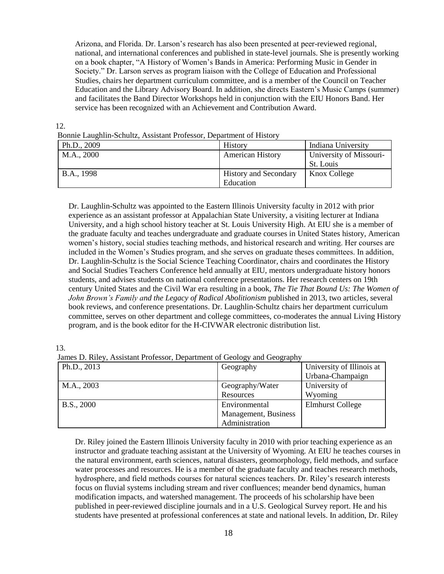Arizona, and Florida. Dr. Larson's research has also been presented at peer-reviewed regional, national, and international conferences and published in state-level journals. She is presently working on a book chapter, "A History of Women's Bands in America: Performing Music in Gender in Society." Dr. Larson serves as program liaison with the College of Education and Professional Studies, chairs her department curriculum committee, and is a member of the Council on Teacher Education and the Library Advisory Board. In addition, she directs Eastern's Music Camps (summer) and facilitates the Band Director Workshops held in conjunction with the EIU Honors Band. Her service has been recognized with an Achievement and Contribution Award.

| Donne Laughin-Schunz, Assistant Floressor, Department of Flistory |                              |                                      |  |  |
|-------------------------------------------------------------------|------------------------------|--------------------------------------|--|--|
| Ph.D., 2009                                                       | <b>History</b>               | Indiana University                   |  |  |
| M.A., 2000                                                        | <b>American History</b>      | University of Missouri-<br>St. Louis |  |  |
| B.A., 1998                                                        | <b>History and Secondary</b> | Knox College                         |  |  |
|                                                                   | Education                    |                                      |  |  |

12. Bonnie Laughlin-Schultz, Assistant Professor, Department of History

Dr. Laughlin-Schultz was appointed to the Eastern Illinois University faculty in 2012 with prior experience as an assistant professor at Appalachian State University, a visiting lecturer at Indiana University, and a high school history teacher at St. Louis University High. At EIU she is a member of the graduate faculty and teaches undergraduate and graduate courses in United States history, American women's history, social studies teaching methods, and historical research and writing. Her courses are included in the Women's Studies program, and she serves on graduate theses committees. In addition, Dr. Laughlin-Schultz is the Social Science Teaching Coordinator, chairs and coordinates the History and Social Studies Teachers Conference held annually at EIU, mentors undergraduate history honors students, and advises students on national conference presentations. Her research centers on 19th century United States and the Civil War era resulting in a book, *The Tie That Bound Us: The Women of John Brown's Family and the Legacy of Radical Abolitionism published in 2013, two articles, several* book reviews, and conference presentations. Dr. Laughlin-Schultz chairs her department curriculum committee, serves on other department and college committees, co-moderates the annual Living History program, and is the book editor for the H-CIVWAR electronic distribution list.

13.

James D. Riley, Assistant Professor, Department of Geology and Geography

|             | ້                    |                           |
|-------------|----------------------|---------------------------|
| Ph.D., 2013 | Geography            | University of Illinois at |
|             |                      | Urbana-Champaign          |
| M.A., 2003  | Geography/Water      | University of             |
|             | Resources            | Wyoming                   |
| B.S., 2000  | Environmental        | <b>Elmhurst College</b>   |
|             | Management, Business |                           |
|             | Administration       |                           |

Dr. Riley joined the Eastern Illinois University faculty in 2010 with prior teaching experience as an instructor and graduate teaching assistant at the University of Wyoming. At EIU he teaches courses in the natural environment, earth sciences, natural disasters, geomorphology, field methods, and surface water processes and resources. He is a member of the graduate faculty and teaches research methods, hydrosphere, and field methods courses for natural sciences teachers. Dr. Riley's research interests focus on fluvial systems including stream and river confluences; meander bend dynamics, human modification impacts, and watershed management. The proceeds of his scholarship have been published in peer-reviewed discipline journals and in a U.S. Geological Survey report. He and his students have presented at professional conferences at state and national levels. In addition, Dr. Riley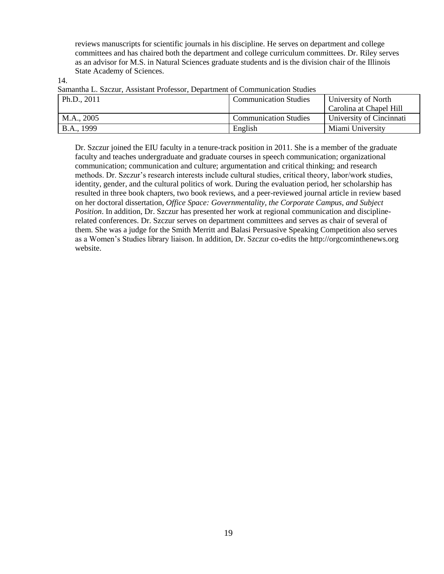reviews manuscripts for scientific journals in his discipline. He serves on department and college committees and has chaired both the department and college curriculum committees. Dr. Riley serves as an advisor for M.S. in Natural Sciences graduate students and is the division chair of the Illinois State Academy of Sciences.

14.

| Bananina L. Bzczur, Assistant i foressor, Department of Communication Buddes |                                                     |                          |  |  |
|------------------------------------------------------------------------------|-----------------------------------------------------|--------------------------|--|--|
| Ph.D., $2011$                                                                | University of North<br><b>Communication Studies</b> |                          |  |  |
|                                                                              |                                                     | Carolina at Chapel Hill  |  |  |
| M.A., 2005                                                                   | <b>Communication Studies</b>                        | University of Cincinnati |  |  |
| B.A., 1999                                                                   | English                                             | Miami University         |  |  |

Samantha L. Szczur, Assistant Professor, Department of Communication Studies

Dr. Szczur joined the EIU faculty in a tenure-track position in 2011. She is a member of the graduate faculty and teaches undergraduate and graduate courses in speech communication; organizational communication; communication and culture; argumentation and critical thinking; and research methods. Dr. Szczur's research interests include cultural studies, critical theory, labor/work studies, identity, gender, and the cultural politics of work. During the evaluation period, her scholarship has resulted in three book chapters, two book reviews, and a peer-reviewed journal article in review based on her doctoral dissertation, *Office Space: Governmentality, the Corporate Campus, and Subject Position*. In addition, Dr. Szczur has presented her work at regional communication and disciplinerelated conferences. Dr. Szczur serves on department committees and serves as chair of several of them. She was a judge for the Smith Merritt and Balasi Persuasive Speaking Competition also serves as a Women's Studies library liaison. In addition, Dr. Szczur co-edits the http://orgcominthenews.org website.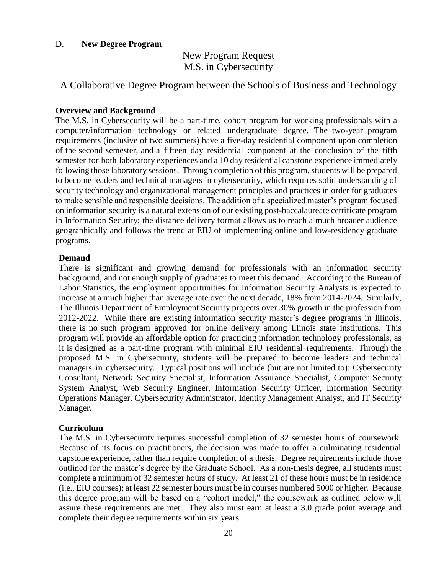#### D. **New Degree Program**

# New Program Request M.S. in Cybersecurity

A Collaborative Degree Program between the Schools of Business and Technology

#### **Overview and Background**

The M.S. in Cybersecurity will be a part-time, cohort program for working professionals with a computer/information technology or related undergraduate degree. The two-year program requirements (inclusive of two summers) have a five-day residential component upon completion of the second semester, and a fifteen day residential component at the conclusion of the fifth semester for both laboratory experiences and a 10 day residential capstone experience immediately following those laboratory sessions. Through completion of this program, students will be prepared to become leaders and technical managers in cybersecurity, which requires solid understanding of security technology and organizational management principles and practices in order for graduates to make sensible and responsible decisions. The addition of a specialized master's program focused on information security is a natural extension of our existing post-baccalaureate certificate program in Information Security; the distance delivery format allows us to reach a much broader audience geographically and follows the trend at EIU of implementing online and low-residency graduate programs.

#### **Demand**

There is significant and growing demand for professionals with an information security background, and not enough supply of graduates to meet this demand. According to the Bureau of Labor Statistics, the employment opportunities for Information Security Analysts is expected to increase at a much higher than average rate over the next decade, 18% from 2014-2024. Similarly, The Illinois Department of Employment Security projects over 30% growth in the profession from 2012-2022. While there are existing information security master's degree programs in Illinois, there is no such program approved for online delivery among Illinois state institutions. This program will provide an affordable option for practicing information technology professionals, as it is designed as a part-time program with minimal EIU residential requirements. Through the proposed M.S. in Cybersecurity, students will be prepared to become leaders and technical managers in cybersecurity. Typical positions will include (but are not limited to): Cybersecurity Consultant, Network Security Specialist, Information Assurance Specialist, Computer Security System Analyst, Web Security Engineer, Information Security Officer, Information Security Operations Manager, Cybersecurity Administrator, Identity Management Analyst, and IT Security Manager.

### **Curriculum**

The M.S. in Cybersecurity requires successful completion of 32 semester hours of coursework. Because of its focus on practitioners, the decision was made to offer a culminating residential capstone experience, rather than require completion of a thesis. Degree requirements include those outlined for the master's degree by the Graduate School. As a non-thesis degree, all students must complete a minimum of 32 semester hours of study. At least 21 of these hours must be in residence (i.e., EIU courses); at least 22 semester hours must be in courses numbered 5000 or higher. Because this degree program will be based on a "cohort model," the coursework as outlined below will assure these requirements are met. They also must earn at least a 3.0 grade point average and complete their degree requirements within six years.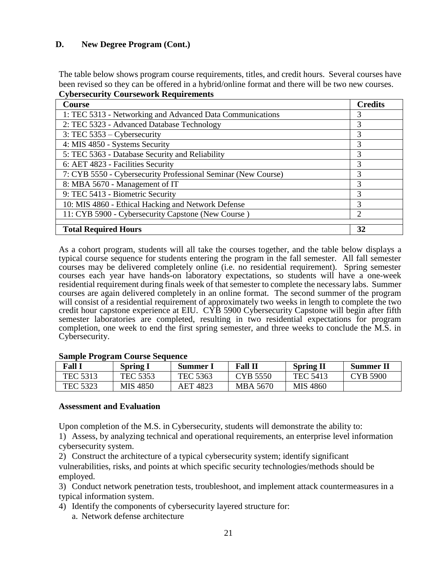# **D. New Degree Program (Cont.)**

The table below shows program course requirements, titles, and credit hours. Several courses have been revised so they can be offered in a hybrid/online format and there will be two new courses. **Cybersecurity Coursework Requirements**

| <b>Course</b>                                                 | <b>Credits</b> |
|---------------------------------------------------------------|----------------|
| 1: TEC 5313 - Networking and Advanced Data Communications     | 3              |
| 2: TEC 5323 - Advanced Database Technology                    | 3              |
| 3: TEC $5353 - Cybersecurity$                                 | 3              |
| 4: MIS 4850 - Systems Security                                | 3              |
| 5: TEC 5363 - Database Security and Reliability               | 3              |
| 6: AET 4823 - Facilities Security                             | 3              |
| 7: CYB 5550 - Cybersecurity Professional Seminar (New Course) | 3              |
| 8: MBA 5670 - Management of IT                                | 3              |
| 9: TEC 5413 - Biometric Security                              | 3              |
| 10: MIS 4860 - Ethical Hacking and Network Defense            | 3              |
| 11: CYB 5900 - Cybersecurity Capstone (New Course)            | $\mathfrak{D}$ |
| <b>Total Required Hours</b>                                   | 32             |

As a cohort program, students will all take the courses together, and the table below displays a typical course sequence for students entering the program in the fall semester. All fall semester courses may be delivered completely online (i.e. no residential requirement). Spring semester courses each year have hands-on laboratory expectations, so students will have a one-week residential requirement during finals week of that semester to complete the necessary labs. Summer courses are again delivered completely in an online format. The second summer of the program will consist of a residential requirement of approximately two weeks in length to complete the two credit hour capstone experience at EIU. CYB 5900 Cybersecurity Capstone will begin after fifth semester laboratories are completed, resulting in two residential expectations for program completion, one week to end the first spring semester, and three weeks to conclude the M.S. in Cybersecurity.

|                 | Dampic 110Li am Course Bequence |                 |                 |                  |                  |
|-----------------|---------------------------------|-----------------|-----------------|------------------|------------------|
| <b>Fall 1</b>   | <b>Spring I</b>                 | Summer 1        | <b>Fall II</b>  | <b>Spring II</b> | <b>Summer II</b> |
| <b>TEC 5313</b> | TEC 5353                        | <b>TEC 5363</b> | CYB 5550        | TEC 5413         | <b>CYB 5900</b>  |
| TEC 5323        | MIS 4850                        | AET 4823        | <b>MBA 5670</b> | <b>MIS 4860</b>  |                  |

### **Sample Program Course Sequence**

### **Assessment and Evaluation**

Upon completion of the M.S. in Cybersecurity, students will demonstrate the ability to:

1) Assess, by analyzing technical and operational requirements, an enterprise level information cybersecurity system.

2) Construct the architecture of a typical cybersecurity system; identify significant vulnerabilities, risks, and points at which specific security technologies/methods should be employed.

3) Conduct network penetration tests, troubleshoot, and implement attack countermeasures in a typical information system.

4) Identify the components of cybersecurity layered structure for: a. Network defense architecture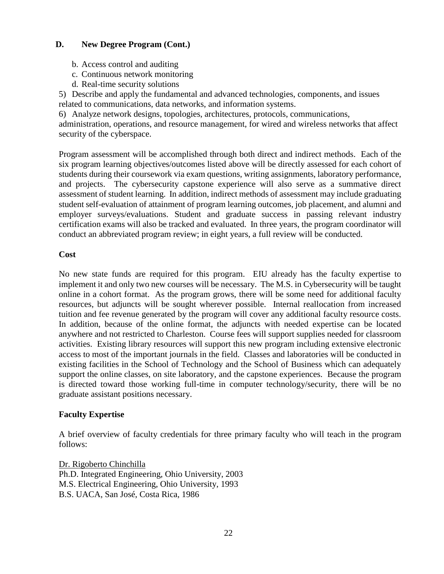# **D. New Degree Program (Cont.)**

- b. Access control and auditing
- c. Continuous network monitoring
- d. Real-time security solutions

5) Describe and apply the fundamental and advanced technologies, components, and issues

related to communications, data networks, and information systems.

6) Analyze network designs, topologies, architectures, protocols, communications, administration, operations, and resource management, for wired and wireless networks that affect security of the cyberspace.

Program assessment will be accomplished through both direct and indirect methods. Each of the six program learning objectives/outcomes listed above will be directly assessed for each cohort of students during their coursework via exam questions, writing assignments, laboratory performance, and projects. The cybersecurity capstone experience will also serve as a summative direct assessment of student learning. In addition, indirect methods of assessment may include graduating student self-evaluation of attainment of program learning outcomes, job placement, and alumni and employer surveys/evaluations. Student and graduate success in passing relevant industry certification exams will also be tracked and evaluated. In three years, the program coordinator will conduct an abbreviated program review; in eight years, a full review will be conducted.

## **Cost**

No new state funds are required for this program. EIU already has the faculty expertise to implement it and only two new courses will be necessary. The M.S. in Cybersecurity will be taught online in a cohort format. As the program grows, there will be some need for additional faculty resources, but adjuncts will be sought wherever possible. Internal reallocation from increased tuition and fee revenue generated by the program will cover any additional faculty resource costs. In addition, because of the online format, the adjuncts with needed expertise can be located anywhere and not restricted to Charleston. Course fees will support supplies needed for classroom activities. Existing library resources will support this new program including extensive electronic access to most of the important journals in the field. Classes and laboratories will be conducted in existing facilities in the School of Technology and the School of Business which can adequately support the online classes, on site laboratory, and the capstone experiences. Because the program is directed toward those working full-time in computer technology/security, there will be no graduate assistant positions necessary.

## **Faculty Expertise**

A brief overview of faculty credentials for three primary faculty who will teach in the program follows:

Dr. Rigoberto Chinchilla Ph.D. Integrated Engineering, Ohio University, 2003 M.S. Electrical Engineering, Ohio University, 1993 B.S. UACA, San José, Costa Rica, 1986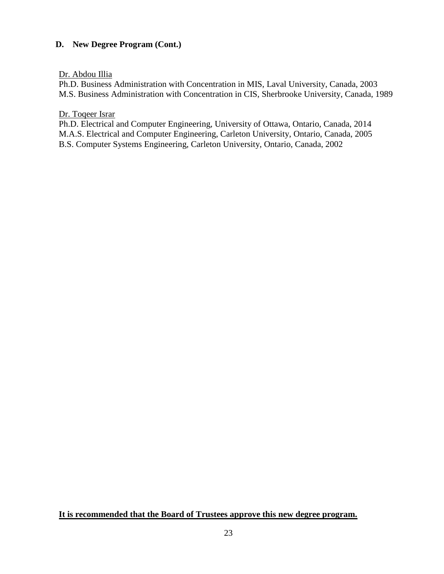# **D. New Degree Program (Cont.)**

Dr. Abdou Illia

Ph.D. Business Administration with Concentration in MIS, Laval University, Canada, 2003 M.S. Business Administration with Concentration in CIS, Sherbrooke University, Canada, 1989

Dr. Toqeer Israr

Ph.D. Electrical and Computer Engineering, University of Ottawa, Ontario, Canada, 2014 M.A.S. Electrical and Computer Engineering, Carleton University, Ontario, Canada, 2005 B.S. Computer Systems Engineering, Carleton University, Ontario, Canada, 2002

**It is recommended that the Board of Trustees approve this new degree program.**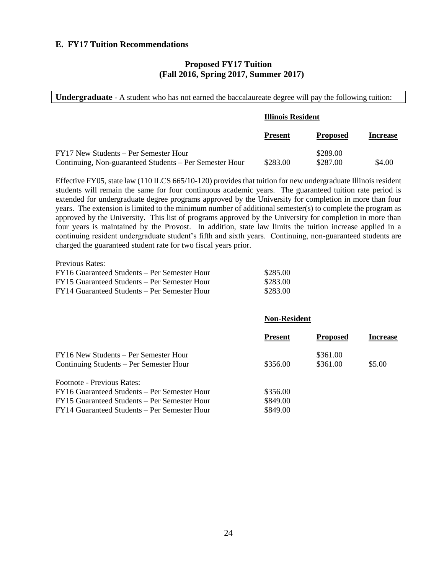#### **E. FY17 Tuition Recommendations**

#### **Proposed FY17 Tuition (Fall 2016, Spring 2017, Summer 2017)**

| <b>Undergraduate</b> - A student who has not earned the baccalaureate degree will pay the following tuition: |                          |                      |                 |
|--------------------------------------------------------------------------------------------------------------|--------------------------|----------------------|-----------------|
|                                                                                                              | <b>Illinois Resident</b> |                      |                 |
|                                                                                                              | <b>Present</b>           | <b>Proposed</b>      | <b>Increase</b> |
| FY17 New Students – Per Semester Hour<br>Continuing, Non-guaranteed Students – Per Semester Hour             | \$283.00                 | \$289.00<br>\$287.00 | \$4.00          |

Effective FY05, state law (110 ILCS 665/10-120) provides that tuition for new undergraduate Illinois resident students will remain the same for four continuous academic years. The guaranteed tuition rate period is extended for undergraduate degree programs approved by the University for completion in more than four years. The extension is limited to the minimum number of additional semester(s) to complete the program as approved by the University. This list of programs approved by the University for completion in more than four years is maintained by the Provost. In addition, state law limits the tuition increase applied in a continuing resident undergraduate student's fifth and sixth years. Continuing, non-guaranteed students are charged the guaranteed student rate for two fiscal years prior.

| Previous Rates:                              |          |
|----------------------------------------------|----------|
| FY16 Guaranteed Students – Per Semester Hour | \$285.00 |
| FY15 Guaranteed Students – Per Semester Hour | \$283.00 |
| FY14 Guaranteed Students – Per Semester Hour | \$283.00 |

#### **Non-Resident**

|                                              | <b>Present</b> | <b>Proposed</b> | Increase |
|----------------------------------------------|----------------|-----------------|----------|
| FY16 New Students – Per Semester Hour        |                | \$361.00        |          |
| Continuing Students – Per Semester Hour      | \$356.00       | \$361.00        | \$5.00   |
| <b>Footnote - Previous Rates:</b>            |                |                 |          |
| FY16 Guaranteed Students – Per Semester Hour | \$356.00       |                 |          |
| FY15 Guaranteed Students – Per Semester Hour | \$849.00       |                 |          |
| FY14 Guaranteed Students – Per Semester Hour | \$849.00       |                 |          |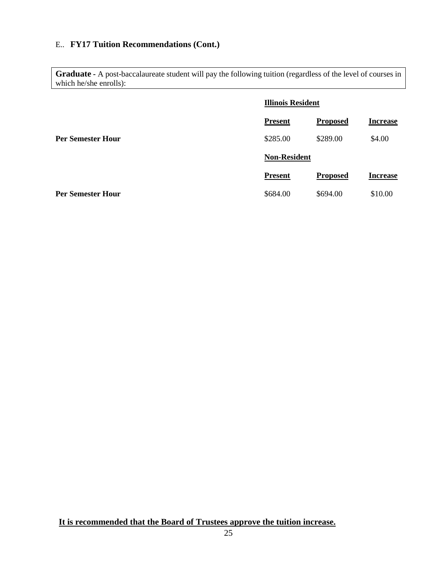# E.. **FY17 Tuition Recommendations (Cont.)**

**Graduate -** A post-baccalaureate student will pay the following tuition (regardless of the level of courses in which he/she enrolls):

|                          | <b>Illinois Resident</b> |                 |                 |
|--------------------------|--------------------------|-----------------|-----------------|
|                          | <b>Present</b>           | <b>Proposed</b> | <b>Increase</b> |
| <b>Per Semester Hour</b> | \$285.00                 | \$289.00        | \$4.00          |
|                          | <b>Non-Resident</b>      |                 |                 |
|                          | <b>Present</b>           | <b>Proposed</b> | <b>Increase</b> |
| <b>Per Semester Hour</b> | \$684.00                 | \$694.00        | \$10.00         |

**It is recommended that the Board of Trustees approve the tuition increase.**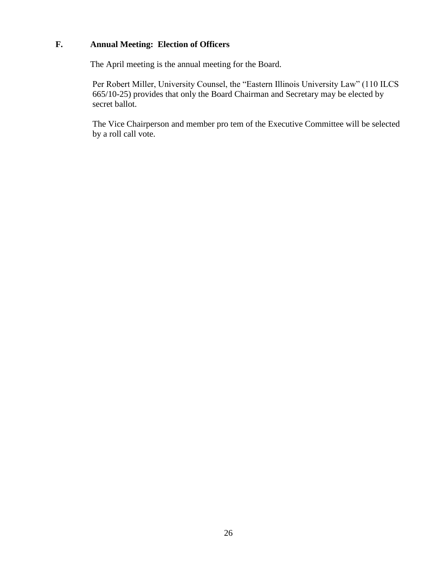# **F. Annual Meeting: Election of Officers**

The April meeting is the annual meeting for the Board.

 Per Robert Miller, University Counsel, the "Eastern Illinois University Law" (110 ILCS 665/10-25) provides that only the Board Chairman and Secretary may be elected by secret ballot.

The Vice Chairperson and member pro tem of the Executive Committee will be selected by a roll call vote.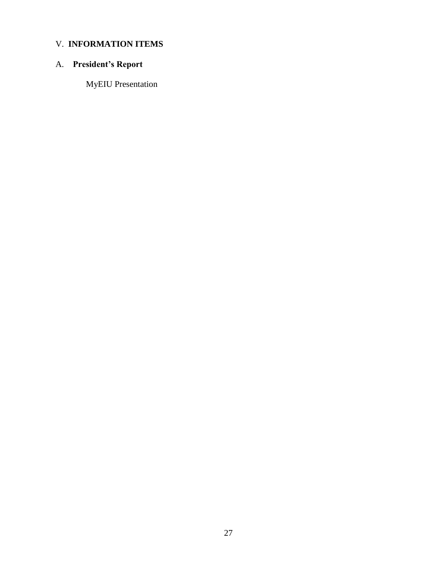# V. **INFORMATION ITEMS**

# A. **President's Report**

MyEIU Presentation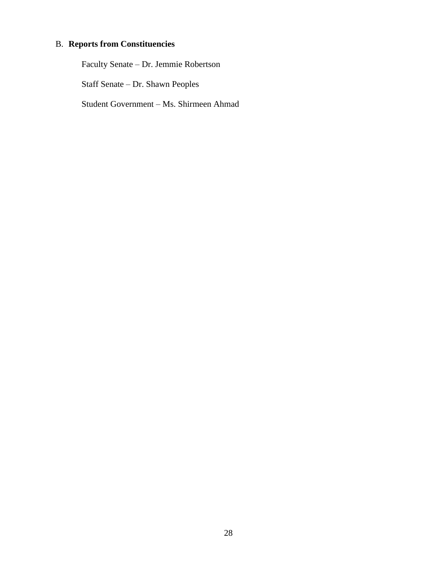# B. **Reports from Constituencies**

Faculty Senate – Dr. Jemmie Robertson Staff Senate – Dr. Shawn Peoples Student Government – Ms. Shirmeen Ahmad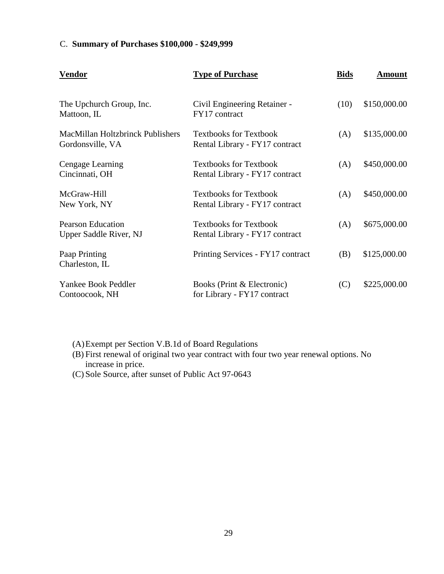# C. **Summary of Purchases \$100,000 - \$249,999**

| <b>Vendor</b>                                               | <b>Type of Purchase</b>                                         | <b>Bids</b> | <b>Amount</b> |
|-------------------------------------------------------------|-----------------------------------------------------------------|-------------|---------------|
| The Upchurch Group, Inc.<br>Mattoon, IL                     | Civil Engineering Retainer -<br>FY17 contract                   | (10)        | \$150,000.00  |
| <b>MacMillan Holtzbrinck Publishers</b><br>Gordonsville, VA | <b>Textbooks for Textbook</b><br>Rental Library - FY17 contract | (A)         | \$135,000.00  |
| Cengage Learning<br>Cincinnati, OH                          | <b>Textbooks for Textbook</b><br>Rental Library - FY17 contract | (A)         | \$450,000.00  |
| McGraw-Hill<br>New York, NY                                 | <b>Textbooks for Textbook</b><br>Rental Library - FY17 contract | (A)         | \$450,000.00  |
| <b>Pearson Education</b><br>Upper Saddle River, NJ          | <b>Textbooks for Textbook</b><br>Rental Library - FY17 contract | (A)         | \$675,000.00  |
| Paap Printing<br>Charleston, IL                             | Printing Services - FY17 contract                               | (B)         | \$125,000.00  |
| Yankee Book Peddler<br>Contoocook, NH                       | Books (Print & Electronic)<br>for Library - FY17 contract       | (C)         | \$225,000.00  |

(A)Exempt per Section V.B.1d of Board Regulations

(B) First renewal of original two year contract with four two year renewal options. No increase in price.

(C) Sole Source, after sunset of Public Act 97-0643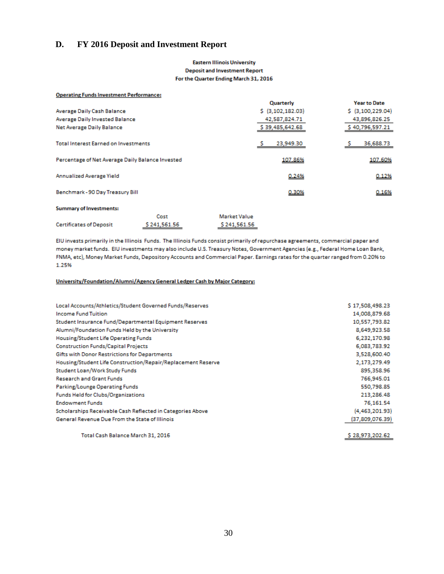## **D. FY 2016 Deposit and Investment Report**

#### **Eastern Illinois University Deposit and Investment Report** For the Quarter Ending March 31, 2016

| <b>Operating Funds Investment Performance:</b>   |              |              |                   |                     |
|--------------------------------------------------|--------------|--------------|-------------------|---------------------|
|                                                  |              |              | Quarterly         | <b>Year to Date</b> |
| Average Daily Cash Balance                       |              |              | \$ (3,102,182.03) | \$ (3,100,229.04)   |
| Average Daily Invested Balance                   |              |              | 42,587,824.71     | 43,896,826.25       |
| Net Average Daily Balance                        |              |              | \$39,485,642.68   | \$40,796,597.21     |
| <b>Total Interest Earned on Investments</b>      |              |              | 23,949.30         | 36,688.73           |
| Percentage of Net Average Daily Balance Invested |              |              | 107.86%           | 107.60%             |
| Annualized Average Yield                         |              |              | 0.24%             | 0.12%               |
| Benchmark - 90 Day Treasury Bill                 |              |              | 0.30%             | 0.16%               |
| <b>Summary of Investments:</b>                   |              |              |                   |                     |
|                                                  | Cost         | Market Value |                   |                     |
| <b>Certificates of Deposit</b>                   | \$241,561.56 | \$241,561.56 |                   |                     |

EIU invests primarily in the Illinois Funds. The Illinois Funds consist primarily of repurchase agreements, commercial paper and money market funds. EIU investments may also include U.S. Treasury Notes, Government Agencies (e.g., Federal Home Loan Bank, FNMA, etc), Money Market Funds, Depository Accounts and Commercial Paper. Earnings rates for the quarter ranged from 0.20% to 1.25%

#### University/Foundation/Alumni/Agency General Ledger Cash by Major Category:

| Local Accounts/Athletics/Student Governed Funds/Reserves     | \$17,508,498.23  |
|--------------------------------------------------------------|------------------|
| <b>Income Fund Tuition</b>                                   | 14,008,879.68    |
| Student Insurance Fund/Departmental Equipment Reserves       | 10,557,793.82    |
| Alumni/Foundation Funds Held by the University               | 8,649,923.58     |
| Housing/Student Life Operating Funds                         | 6,232,170.98     |
| <b>Construction Funds/Capital Projects</b>                   | 6,083,783.92     |
| Gifts with Donor Restrictions for Departments                | 3,528,600.40     |
| Housing/Student Life Construction/Repair/Replacement Reserve | 2,173,279.49     |
| Student Loan/Work Study Funds                                | 895,358.96       |
| <b>Research and Grant Funds</b>                              | 766,945.01       |
| Parking/Lounge Operating Funds                               | 550,798.85       |
| Funds Held for Clubs/Organizations                           | 213,286.48       |
| <b>Endowment Funds</b>                                       | 76,161.54        |
| Scholarships Receivable Cash Reflected in Categories Above   | (4, 463, 201.93) |
| General Revenue Due From the State of Illinois               | (37,809,076.39)  |
|                                                              |                  |

\$28,973,202.62

Total Cash Balance March 31, 2016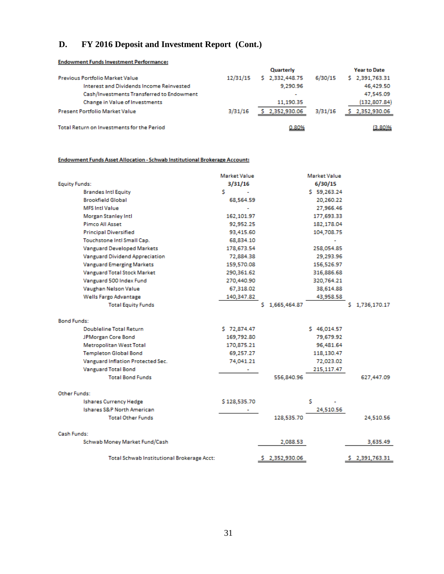# **D. FY 2016 Deposit and Investment Report (Cont.)**

#### **Endowment Funds Investment Performance:**

|                                            |          | Quarterly                |         | <b>Year to Date</b> |
|--------------------------------------------|----------|--------------------------|---------|---------------------|
| <b>Previous Portfolio Market Value</b>     | 12/31/15 | \$2,332,448.75           | 6/30/15 | \$2,391,763.31      |
| Interest and Dividends Income Reinvested   |          | 9.290.96                 |         | 46,429.50           |
| Cash/Investments Transferred to Endowment  |          | $\overline{\phantom{a}}$ |         | 47.545.09           |
| Change in Value of Investments             |          | 11.190.35                |         | (132, 807.84)       |
| <b>Present Portfolio Market Value</b>      | 3/31/16  | \$2,352,930.06           | 3/31/16 | \$2,352,930.06      |
| Total Return on Investments for the Period |          | 0.80%                    |         | (3.80)%             |

#### Endowment Funds Asset Allocation - Schwab Institutional Brokerage Account:

|                                                   | <b>Market Value</b> | Market Value      |                   |
|---------------------------------------------------|---------------------|-------------------|-------------------|
| <b>Equity Funds:</b>                              | 3/31/16             | 6/30/15           |                   |
| <b>Brandes Intl Equity</b>                        | Ś                   | \$59,263.24       |                   |
| <b>Brookfield Global</b>                          | 68,564.59           | 20,260.22         |                   |
| <b>MFS Intl Value</b>                             |                     | 27,966.46         |                   |
| Morgan Stanley Intl                               | 162,101.97          | 177,693.33        |                   |
| Pimco All Asset                                   | 92,952.25           | 182,178.04        |                   |
| <b>Principal Diversified</b>                      | 93,415.60           | 104,708.75        |                   |
| Touchstone Intl Small Cap.                        | 68,834.10           |                   |                   |
| <b>Vanguard Developed Markets</b>                 | 178,673.54          | 258,054.85        |                   |
| Vanguard Dividend Appreciation                    | 72,884.38           | 29,293.96         |                   |
| <b>Vanguard Emerging Markets</b>                  | 159,570.08          | 156,526.97        |                   |
| Vanguard Total Stock Market                       | 290,361.62          | 316,886.68        |                   |
| Vanguard 500 Index Fund                           | 270,440.90          | 320,764.21        |                   |
| Vaughan Nelson Value                              | 67,318.02           | 38,614.88         |                   |
| Wells Fargo Advantage                             | 140,347.82          | 43,958.58         |                   |
| <b>Total Equity Funds</b>                         |                     | 1,665,464.87<br>s | 1,736,170.17<br>s |
|                                                   |                     |                   |                   |
| <b>Bond Funds:</b>                                |                     |                   |                   |
| <b>Doubleline Total Return</b>                    | \$72,874.47         | \$46,014.57       |                   |
| JPMorgan Core Bond                                | 169,792.80          | 79,679.92         |                   |
| <b>Metropolitan West Total</b>                    | 170,875.21          | 96,481.64         |                   |
| <b>Templeton Global Bond</b>                      | 69,257.27           | 118,130.47        |                   |
| Vanguard Inflation Protected Sec.                 | 74.041.21           | 72,023.02         |                   |
| <b>Vanguard Total Bond</b>                        | ٠                   | 215,117.47        |                   |
| <b>Total Bond Funds</b>                           |                     | 556,840.96        | 627,447.09        |
| Other Funds:                                      |                     |                   |                   |
| <b>Ishares Currency Hedge</b>                     | \$128,535.70        | Ś                 |                   |
| Ishares S&P North American                        |                     | 24,510.56         |                   |
| <b>Total Other Funds</b>                          |                     | 128,535.70        | 24,510.56         |
|                                                   |                     |                   |                   |
| Cash Funds:                                       |                     |                   |                   |
| Schwab Money Market Fund/Cash                     |                     | 2.088.53          | 3,635.49          |
| <b>Total Schwab Institutional Brokerage Acct:</b> |                     | 2,352,930.06<br>s | 2,391,763.31<br>s |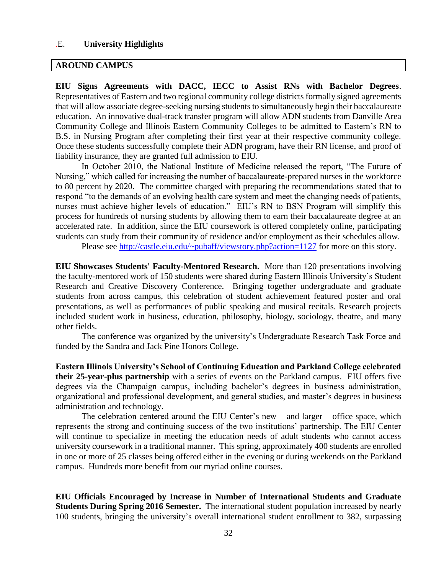#### .E. **University Highlights**

#### **AROUND CAMPUS**

**EIU Signs Agreements with DACC, IECC to Assist RNs with Bachelor Degrees**. Representatives of Eastern and two regional community college districts formally signed agreements that will allow associate degree-seeking nursing students to simultaneously begin their baccalaureate education. An innovative dual-track transfer program will allow ADN students from Danville Area Community College and Illinois Eastern Community Colleges to be admitted to Eastern's RN to B.S. in Nursing Program after completing their first year at their respective community college. Once these students successfully complete their ADN program, have their RN license, and proof of liability insurance, they are granted full admission to EIU.

In October 2010, the National Institute of Medicine released the report, "The Future of Nursing," which called for increasing the number of baccalaureate-prepared nurses in the workforce to 80 percent by 2020. The committee charged with preparing the recommendations stated that to respond "to the demands of an evolving health care system and meet the changing needs of patients, nurses must achieve higher levels of education." EIU's RN to BSN Program will simplify this process for hundreds of nursing students by allowing them to earn their baccalaureate degree at an accelerated rate. In addition, since the EIU coursework is offered completely online, participating students can study from their community of residence and/or employment as their schedules allow.

Please see<http://castle.eiu.edu/~pubaff/viewstory.php?action=1127> for more on this story.

**EIU Showcases Students' Faculty-Mentored Research.** More than 120 presentations involving the faculty-mentored work of 150 students were shared during Eastern Illinois University's Student Research and Creative Discovery Conference. Bringing together undergraduate and graduate students from across campus, this celebration of student achievement featured poster and oral presentations, as well as performances of public speaking and musical recitals. Research projects included student work in business, education, philosophy, biology, sociology, theatre, and many other fields.

The conference was organized by the university's Undergraduate Research Task Force and funded by the Sandra and Jack Pine Honors College.

**Eastern Illinois University's School of Continuing Education and Parkland College celebrated their 25-year-plus partnership** with a series of events on the Parkland campus. EIU offers five degrees via the Champaign campus, including bachelor's degrees in business administration, organizational and professional development, and general studies, and master's degrees in business administration and technology.

The celebration centered around the EIU Center's new – and larger – office space, which represents the strong and continuing success of the two institutions' partnership. The EIU Center will continue to specialize in meeting the education needs of adult students who cannot access university coursework in a traditional manner. This spring, approximately 400 students are enrolled in one or more of 25 classes being offered either in the evening or during weekends on the Parkland campus. Hundreds more benefit from our myriad online courses.

**EIU Officials Encouraged by Increase in Number of International Students and Graduate Students During Spring 2016 Semester.** The international student population increased by nearly 100 students, bringing the university's overall international student enrollment to 382, surpassing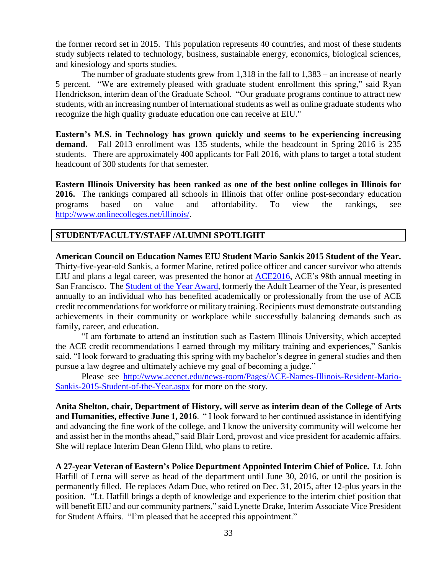the former record set in 2015. This population represents 40 countries, and most of these students study subjects related to technology, business, sustainable energy, economics, biological sciences, and kinesiology and sports studies.

The number of graduate students grew from 1,318 in the fall to 1,383 – an increase of nearly 5 percent. "We are extremely pleased with graduate student enrollment this spring," said Ryan Hendrickson, interim dean of the Graduate School. "Our graduate programs continue to attract new students, with an increasing number of international students as well as online graduate students who recognize the high quality graduate education one can receive at EIU."

**Eastern's M.S. in Technology has grown quickly and seems to be experiencing increasing demand.** Fall 2013 enrollment was 135 students, while the headcount in Spring 2016 is 235 students. There are approximately 400 applicants for Fall 2016, with plans to target a total student headcount of 300 students for that semester.

**Eastern Illinois University has been ranked as one of the best online colleges in Illinois for 2016.** The rankings compared all schools in Illinois that offer online post-secondary education programs based on value and affordability. To view the rankings, see [http://www.onlinecolleges.net/illinois/.](http://www.onlinecolleges.net/illinois/)

#### **STUDENT/FACULTY/STAFF /ALUMNI SPOTLIGHT**

**American Council on Education Names EIU Student Mario Sankis 2015 Student of the Year.**  Thirty-five-year-old Sankis, a former Marine, retired police officer and cancer survivor who attends EIU and plans a legal career, was presented the honor at [ACE2016,](http://www.aceannualmeeting.org/) ACE's 98th annual meeting in San Francisco. The [Student of the Year Award,](http://www.acenet.edu/about-ace/special-initiatives/Pages/ACE-Student-of-the-Year-Award.aspx) formerly the Adult Learner of the Year, is presented annually to an individual who has benefited academically or professionally from the use of ACE credit recommendations for workforce or military training. Recipients must demonstrate outstanding achievements in their community or workplace while successfully balancing demands such as family, career, and education.

"I am fortunate to attend an institution such as Eastern Illinois University, which accepted the ACE credit recommendations I earned through my military training and experiences," Sankis said. "I look forward to graduating this spring with my bachelor's degree in general studies and then pursue a law degree and ultimately achieve my goal of becoming a judge."

Please see [http://www.acenet.edu/news-room/Pages/ACE-Names-Illinois-Resident-Mario-](http://www.acenet.edu/news-room/Pages/ACE-Names-Illinois-Resident-Mario-Sankis-2015-Student-of-the-Year.aspx)[Sankis-2015-Student-of-the-Year.aspx](http://www.acenet.edu/news-room/Pages/ACE-Names-Illinois-Resident-Mario-Sankis-2015-Student-of-the-Year.aspx) for more on the story.

**Anita Shelton, chair, Department of History, will serve as interim dean of the College of Arts and Humanities, effective June 1, 2016**. " I look forward to her continued assistance in identifying and advancing the fine work of the college, and I know the university community will welcome her and assist her in the months ahead," said Blair Lord, provost and vice president for academic affairs. She will replace Interim Dean Glenn Hild, who plans to retire.

**A 27-year Veteran of Eastern's Police Department Appointed Interim Chief of Police.** Lt. John Hatfill of Lerna will serve as head of the department until June 30, 2016, or until the position is permanently filled. He replaces Adam Due, who retired on Dec. 31, 2015, after 12-plus years in the position. "Lt. Hatfill brings a depth of knowledge and experience to the interim chief position that will benefit EIU and our community partners," said Lynette Drake, Interim Associate Vice President for Student Affairs. "I'm pleased that he accepted this appointment."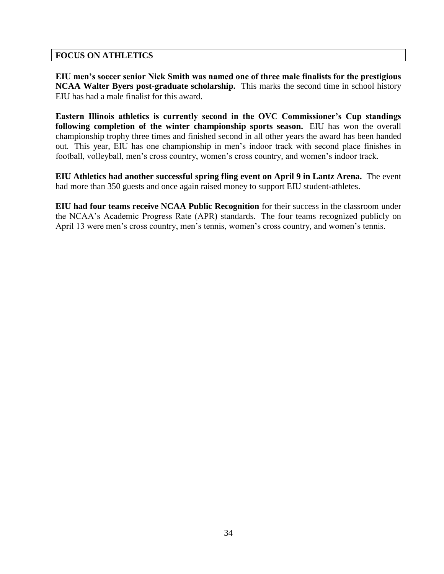### **FOCUS ON ATHLETICS**

**EIU men's soccer senior Nick Smith was named one of three male finalists for the prestigious NCAA Walter Byers post-graduate scholarship.** This marks the second time in school history EIU has had a male finalist for this award.

**Eastern Illinois athletics is currently second in the OVC Commissioner's Cup standings following completion of the winter championship sports season.** EIU has won the overall championship trophy three times and finished second in all other years the award has been handed out. This year, EIU has one championship in men's indoor track with second place finishes in football, volleyball, men's cross country, women's cross country, and women's indoor track.

**EIU Athletics had another successful spring fling event on April 9 in Lantz Arena.** The event had more than 350 guests and once again raised money to support EIU student-athletes.

**EIU had four teams receive NCAA Public Recognition** for their success in the classroom under the NCAA's Academic Progress Rate (APR) standards. The four teams recognized publicly on April 13 were men's cross country, men's tennis, women's cross country, and women's tennis.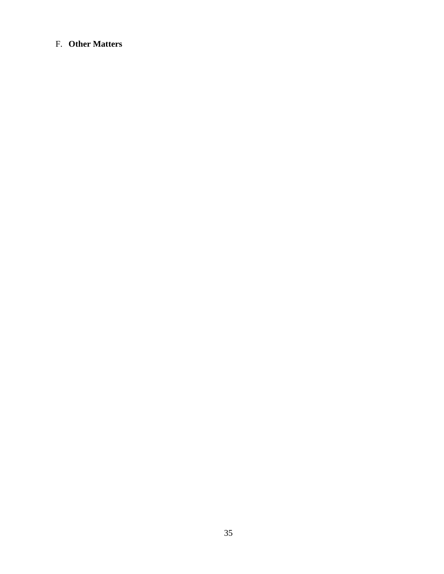# F. **Other Matters**